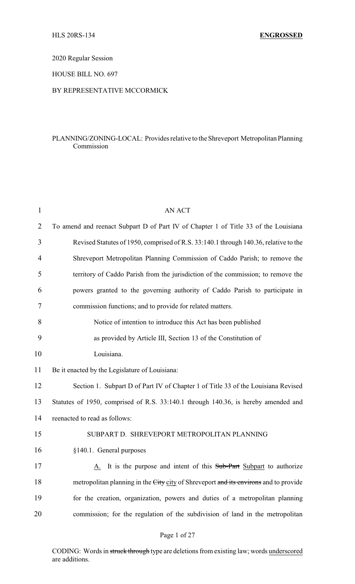2020 Regular Session

HOUSE BILL NO. 697

## BY REPRESENTATIVE MCCORMICK

# PLANNING/ZONING-LOCAL: Provides relative to the Shreveport Metropolitan Planning Commission

| <b>AN ACT</b>                                                                        |
|--------------------------------------------------------------------------------------|
| To amend and reenact Subpart D of Part IV of Chapter 1 of Title 33 of the Louisiana  |
| Revised Statutes of 1950, comprised of R.S. 33:140.1 through 140.36, relative to the |
| Shreveport Metropolitan Planning Commission of Caddo Parish; to remove the           |
| territory of Caddo Parish from the jurisdiction of the commission; to remove the     |
| powers granted to the governing authority of Caddo Parish to participate in          |
| commission functions; and to provide for related matters.                            |
| Notice of intention to introduce this Act has been published                         |
| as provided by Article III, Section 13 of the Constitution of                        |
| Louisiana.                                                                           |
| Be it enacted by the Legislature of Louisiana:                                       |
| Section 1. Subpart D of Part IV of Chapter 1 of Title 33 of the Louisiana Revised    |
| Statutes of 1950, comprised of R.S. 33:140.1 through 140.36, is hereby amended and   |
| reenacted to read as follows:                                                        |
| SUBPART D. SHREVEPORT METROPOLITAN PLANNING                                          |
| §140.1. General purposes                                                             |
| A. It is the purpose and intent of this Sub-Part Subpart to authorize                |
| metropolitan planning in the City city of Shreveport and its environs and to provide |
| for the creation, organization, powers and duties of a metropolitan planning         |
| commission; for the regulation of the subdivision of land in the metropolitan        |
|                                                                                      |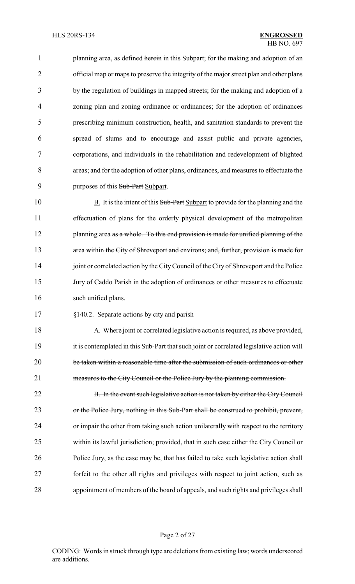1 planning area, as defined herein in this Subpart; for the making and adoption of an official map or maps to preserve the integrity of the major street plan and other plans by the regulation of buildings in mapped streets; for the making and adoption of a zoning plan and zoning ordinance or ordinances; for the adoption of ordinances prescribing minimum construction, health, and sanitation standards to prevent the spread of slums and to encourage and assist public and private agencies, corporations, and individuals in the rehabilitation and redevelopment of blighted areas; and for the adoption of other plans, ordinances, and measures to effectuate the 9 purposes of this Sub-Part Subpart.

10 B. It is the intent of this Sub-Part Subpart to provide for the planning and the 11 effectuation of plans for the orderly physical development of the metropolitan 12 planning area as a whole. To this end provision is made for unified planning of the 13 area within the City of Shreveport and environs; and, further, provision is made for 14 joint or correlated action by the City Council of the City of Shreveport and the Police 15 *Jury of Caddo Parish in the adoption of ordinances or other measures to effectuate* 16 such unified plans.

17 §140.2. Separate actions by city and parish

18 A. Where joint or correlated legislative action is required, as above provided, 19 it is contemplated in this Sub-Part that such joint or correlated legislative action will 20 be taken within a reasonable time after the submission of such ordinances or other 21 measures to the City Council or the Police Jury by the planning commission.

22 B. In the event such legislative action is not taken by either the City Council 23 or the Police Jury, nothing in this Sub-Part shall be construed to prohibit, prevent, 24 or impair the other from taking such action unilaterally with respect to the territory 25 within its lawful jurisdiction; provided, that in such case either the City Council or 26 Police Jury, as the case may be, that has failed to take such legislative action shall 27 forfeit to the other all rights and privileges with respect to joint action, such as 28 appointment of members of the board of appeals, and such rights and privileges shall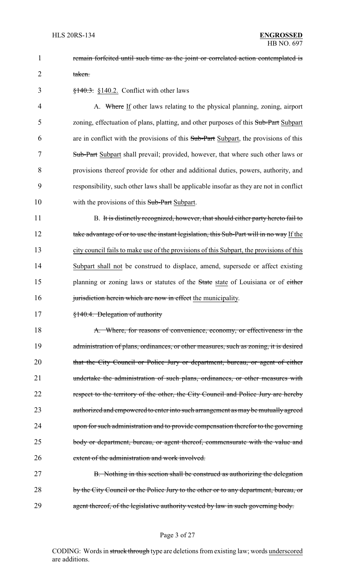1 **remain forfeited until such time as the joint or correlated action contemplated is** 

2 taken.

 $\frac{$140.3}{140.3}$  \\$140.2. Conflict with other laws

4 A. Where If other laws relating to the physical planning, zoning, airport 5 zoning, effectuation of plans, platting, and other purposes of this Sub-Part Subpart 6 are in conflict with the provisions of this Sub-Part Subpart, the provisions of this 7 Sub-Part Subpart shall prevail; provided, however, that where such other laws or 8 provisions thereof provide for other and additional duties, powers, authority, and 9 responsibility, such other laws shall be applicable insofar as they are not in conflict 10 with the provisions of this Sub-Part Subpart.

11 B. It is distinctly recognized, however, that should either party hereto fail to 12 take advantage of or to use the instant legislation, this Sub-Part will in no way If the 13 city council fails to make use of the provisions of this Subpart, the provisions of this 14 Subpart shall not be construed to displace, amend, supersede or affect existing 15 planning or zoning laws or statutes of the State state of Louisiana or of either 16 jurisdiction herein which are now in effect the municipality.

17 §140.4. Delegation of authority

18 A. Where, for reasons of convenience, economy, or effectiveness in the 19 administration of plans, ordinances, or other measures, such as zoning, it is desired 20 that the City Council or Police Jury or department, bureau, or agent of either 21 undertake the administration of such plans, ordinances, or other measures with 22 respect to the territory of the other, the City Council and Police Jury are hereby 23 authorized and empowered to enter into such arrangement as may be mutually agreed 24 upon for such administration and to provide compensation therefor to the governing 25 body or department, bureau, or agent thereof, commensurate with the value and 26 extent of the administration and work involved.

27 B. Nothing in this section shall be construed as authorizing the delegation 28 by the City Council or the Police Jury to the other or to any department, bureau, or 29 agent thereof, of the legislative authority vested by law in such governing body.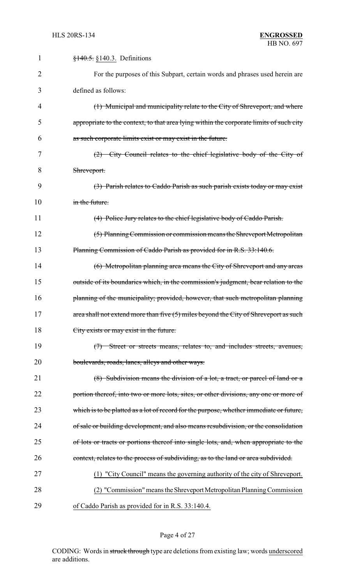| 1              | $\frac{$140.5}{\\8140.3}$ . Definitions                                                 |
|----------------|-----------------------------------------------------------------------------------------|
| $\overline{2}$ | For the purposes of this Subpart, certain words and phrases used herein are             |
| 3              | defined as follows:                                                                     |
| 4              | (1) Municipal and municipality relate to the City of Shreveport, and where              |
| 5              | appropriate to the context, to that area lying within the corporate limits of such city |
| 6              | as such corporate limits exist or may exist in the future.                              |
| 7              | $(2)$ City Council relates to the chief legislative body of the City of                 |
| 8              | Shreveport.                                                                             |
| 9              | (3) Parish relates to Caddo Parish as such parish exists today or may exist             |
| 10             | in the future.                                                                          |
| 11             | (4) Police Jury relates to the chief legislative body of Caddo Parish.                  |
| 12             | (5) Planning Commission or commission means the Shreveport Metropolitan                 |
| 13             | Planning Commission of Caddo Parish as provided for in R.S. 33:140.6.                   |
| 14             | (6) Metropolitan planning area means the City of Shreveport and any areas               |
| 15             | outside of its boundaries which, in the commission's judgment, bear relation to the     |
| 16             | planning of the municipality; provided, however, that such metropolitan planning        |
| 17             | area shall not extend more than five $(5)$ miles beyond the City of Shreveport as such  |
| 18             | City exists or may exist in the future.                                                 |
| 19             | (7) Street or streets means, relates to, and includes streets, avenues,                 |
| 20             | boulevards, roads, lanes, alleys and other ways.                                        |
| 21             | (8) Subdivision means the division of a lot, a tract, or parcel of land or a            |
| 22             | portion thereof, into two or more lots, sites, or other divisions, any one or more of   |
| 23             | which is to be platted as a lot of record for the purpose, whether immediate or future, |
| 24             | of sale or building development, and also means resubdivision, or the consolidation     |
| 25             | of lots or tracts or portions thereof into single lots, and, when appropriate to the    |
| 26             | context, relates to the process of subdividing, as to the land or area subdivided.      |
| 27             | (1) "City Council" means the governing authority of the city of Shreveport.             |
| 28             | (2) "Commission" means the Shreveport Metropolitan Planning Commission                  |
| 29             | of Caddo Parish as provided for in R.S. 33:140.4.                                       |

# Page 4 of 27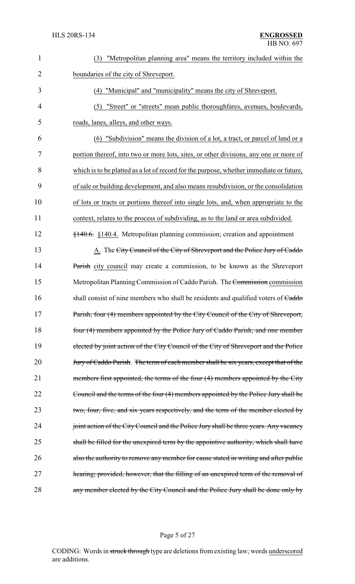| $\mathbf{1}$   | "Metropolitan planning area" means the territory included within the<br>(3)                |
|----------------|--------------------------------------------------------------------------------------------|
| $\overline{2}$ | boundaries of the city of Shreveport.                                                      |
| 3              | (4) "Municipal" and "municipality" means the city of Shreveport.                           |
| $\overline{4}$ | "Street" or "streets" mean public thoroughfares, avenues, boulevards,<br>(5)               |
| 5              | roads, lanes, alleys, and other ways.                                                      |
| 6              | "Subdivision" means the division of a lot, a tract, or parcel of land or a<br>(6)          |
| $\overline{7}$ | portion thereof, into two or more lots, sites, or other divisions, any one or more of      |
| 8              | which is to be platted as a lot of record for the purpose, whether immediate or future,    |
| 9              | of sale or building development, and also means resubdivision, or the consolidation        |
| 10             | of lots or tracts or portions thereof into single lots, and, when appropriate to the       |
| 11             | context, relates to the process of subdividing, as to the land or area subdivided.         |
| 12             | $\frac{140.6}{140.6}$ , §140.4. Metropolitan planning commission; creation and appointment |
| 13             | A. The City Council of the City of Shreveport and the Police Jury of Caddo                 |
| 14             | Parish city council may create a commission, to be known as the Shreveport                 |
| 15             | Metropolitan Planning Commission of Caddo Parish. The Commission commission                |
| 16             | shall consist of nine members who shall be residents and qualified voters of Caddo         |
| 17             | Parish, four (4) members appointed by the City Council of the City of Shreveport,          |
| 18             | four (4) members appointed by the Police Jury of Caddo Parish, and one member              |
| 19             | elected by joint action of the City Council of the City of Shreveport and the Police       |
| 20             | Jury of Caddo Parish. The term of each member shall be six years, except that of the       |
| 21             | members first appointed, the terms of the four (4) members appointed by the City           |
| 22             | Council and the terms of the four (4) members appointed by the Police Jury shall be        |
| 23             | two, four, five, and six years respectively, and the term of the member elected by         |
| 24             | joint action of the City Council and the Police Jury shall be three years. Any vacancy     |
| 25             | shall be filled for the unexpired term by the appointive authority, which shall have       |
| 26             | also the authority to remove any member for cause stated in writing and after public       |
| 27             | hearing; provided, however, that the filling of an unexpired term of the removal of        |
| 28             | any member elected by the City Council and the Police Jury shall be done only by           |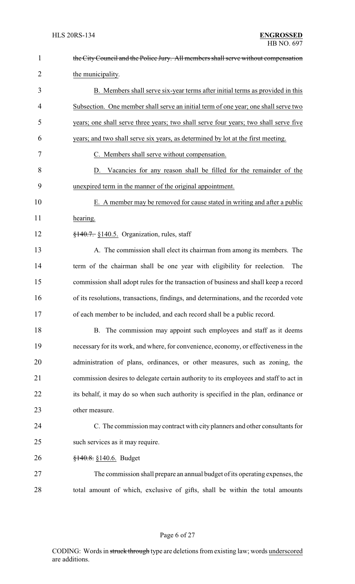| $\mathbf{1}$   | the City Council and the Police Jury. All members shall serve without compensation    |
|----------------|---------------------------------------------------------------------------------------|
| $\overline{2}$ | the municipality.                                                                     |
| 3              | B. Members shall serve six-year terms after initial terms as provided in this         |
| 4              | Subsection. One member shall serve an initial term of one year; one shall serve two   |
| 5              | years; one shall serve three years; two shall serve four years; two shall serve five  |
| 6              | years; and two shall serve six years, as determined by lot at the first meeting.      |
| 7              | C. Members shall serve without compensation.                                          |
| 8              | D. Vacancies for any reason shall be filled for the remainder of the                  |
| 9              | unexpired term in the manner of the original appointment.                             |
| 10             | E. A member may be removed for cause stated in writing and after a public             |
| 11             | hearing.                                                                              |
| 12             | $\frac{1}{2}$ +40.7. §140.5. Organization, rules, staff                               |
| 13             | A. The commission shall elect its chairman from among its members. The                |
| 14             | term of the chairman shall be one year with eligibility for reelection.<br>The        |
| 15             | commission shall adopt rules for the transaction of business and shall keep a record  |
| 16             | of its resolutions, transactions, findings, and determinations, and the recorded vote |
| 17             | of each member to be included, and each record shall be a public record.              |
| 18             | B. The commission may appoint such employees and staff as it deems                    |
| 19             | necessary for its work, and where, for convenience, economy, or effectiveness in the  |
| 20             | administration of plans, ordinances, or other measures, such as zoning, the           |
| 21             | commission desires to delegate certain authority to its employees and staff to act in |
| 22             | its behalf, it may do so when such authority is specified in the plan, ordinance or   |
| 23             | other measure.                                                                        |
| 24             | C. The commission may contract with city planners and other consultants for           |
| 25             | such services as it may require.                                                      |
| 26             | $\frac{$140.8}{9140.6}$ . Budget                                                      |
| 27             | The commission shall prepare an annual budget of its operating expenses, the          |
| 28             | total amount of which, exclusive of gifts, shall be within the total amounts          |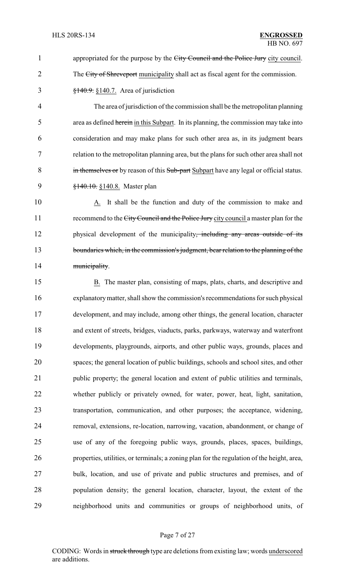1 appropriated for the purpose by the City Council and the Police Jury city council. 2 The City of Shreveport municipality shall act as fiscal agent for the commission.  $\frac{$140.9}{140.7}$ . S<sub>140.7</sub>. Area of jurisdiction

4 The area of jurisdiction of the commission shall be the metropolitan planning 5 area as defined herein in this Subpart. In its planning, the commission may take into 6 consideration and may make plans for such other area as, in its judgment bears 7 relation to the metropolitan planning area, but the plans for such other area shall not 8 in themselves or by reason of this Sub-part Subpart have any legal or official status. 9 <del>§140.10.</del> §140.8. Master plan

10 A. It shall be the function and duty of the commission to make and 11 recommend to the City Council and the Police Jury city council a master plan for the 12 physical development of the municipality, including any areas outside of its 13 boundaries which, in the commission's judgment, bear relation to the planning of the 14 municipality.

 B. The master plan, consisting of maps, plats, charts, and descriptive and explanatorymatter, shall show the commission's recommendations for such physical development, and may include, among other things, the general location, character and extent of streets, bridges, viaducts, parks, parkways, waterway and waterfront developments, playgrounds, airports, and other public ways, grounds, places and spaces; the general location of public buildings, schools and school sites, and other public property; the general location and extent of public utilities and terminals, whether publicly or privately owned, for water, power, heat, light, sanitation, transportation, communication, and other purposes; the acceptance, widening, removal, extensions, re-location, narrowing, vacation, abandonment, or change of use of any of the foregoing public ways, grounds, places, spaces, buildings, properties, utilities, or terminals; a zoning plan for the regulation of the height, area, bulk, location, and use of private and public structures and premises, and of population density; the general location, character, layout, the extent of the neighborhood units and communities or groups of neighborhood units, of

## Page 7 of 27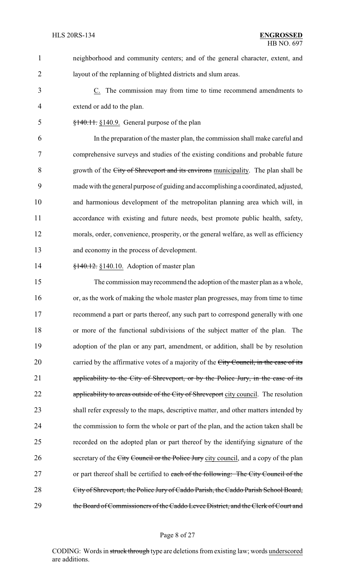neighborhood and community centers; and of the general character, extent, and layout of the replanning of blighted districts and slum areas.

 C. The commission may from time to time recommend amendments to extend or add to the plan.

§140.11. §140.9. General purpose of the plan

 In the preparation of the master plan, the commission shall make careful and comprehensive surveys and studies of the existing conditions and probable future growth of the City of Shreveport and its environs municipality. The plan shall be made with the general purpose of guiding and accomplishing a coordinated, adjusted, and harmonious development of the metropolitan planning area which will, in accordance with existing and future needs, best promote public health, safety, morals, order, convenience, prosperity, or the general welfare, as well as efficiency and economy in the process of development.

**§140.12.** §140.10. Adoption of master plan

 The commission may recommend the adoption of the master plan as a whole, or, as the work of making the whole master plan progresses, may from time to time recommend a part or parts thereof, any such part to correspond generally with one or more of the functional subdivisions of the subject matter of the plan. The adoption of the plan or any part, amendment, or addition, shall be by resolution 20 carried by the affirmative votes of a majority of the City Council, in the case of its applicability to the City of Shreveport, or by the Police Jury, in the case of its 22 applicability to areas outside of the City of Shreveport city council. The resolution shall refer expressly to the maps, descriptive matter, and other matters intended by the commission to form the whole or part of the plan, and the action taken shall be recorded on the adopted plan or part thereof by the identifying signature of the 26 secretary of the City Council or the Police Jury city council, and a copy of the plan 27 or part thereof shall be certified to each of the following: The City Council of the City of Shreveport, the Police Jury of Caddo Parish, the Caddo Parish School Board, 29 the Board of Commissioners of the Caddo Levee District, and the Clerk of Court and

#### Page 8 of 27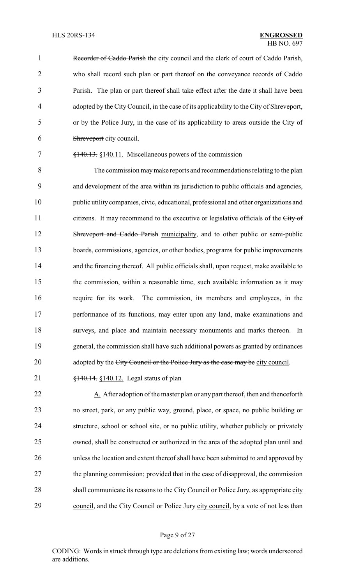1 Recorder of Caddo Parish the city council and the clerk of court of Caddo Parish, who shall record such plan or part thereof on the conveyance records of Caddo Parish. The plan or part thereof shall take effect after the date it shall have been 4 adopted by the City Council, in the case of its applicability to the City of Shreveport, or by the Police Jury, in the case of its applicability to areas outside the City of Shreveport city council.

#### 7 §140.13. §140.11. Miscellaneous powers of the commission

 The commission maymake reports and recommendations relating to the plan and development of the area within its jurisdiction to public officials and agencies, public utilitycompanies, civic, educational, professional and other organizations and 11 citizens. It may recommend to the executive or legislative officials of the City of 12 Shreveport and Caddo Parish municipality, and to other public or semi-public boards, commissions, agencies, or other bodies, programs for public improvements and the financing thereof. All public officials shall, upon request, make available to the commission, within a reasonable time, such available information as it may require for its work. The commission, its members and employees, in the performance of its functions, may enter upon any land, make examinations and surveys, and place and maintain necessary monuments and marks thereon. In general, the commission shall have such additional powers as granted by ordinances 20 adopted by the City Council or the Police Jury as the case may be city council.

21 **§140.14.** §140.12. Legal status of plan

22 A. After adoption of the master plan or any part thereof, then and thenceforth 23 no street, park, or any public way, ground, place, or space, no public building or 24 structure, school or school site, or no public utility, whether publicly or privately 25 owned, shall be constructed or authorized in the area of the adopted plan until and 26 unless the location and extent thereof shall have been submitted to and approved by 27 the planning commission; provided that in the case of disapproval, the commission 28 shall communicate its reasons to the City Council or Police Jury, as appropriate city 29 council, and the City Council or Police Jury city council, by a vote of not less than

## Page 9 of 27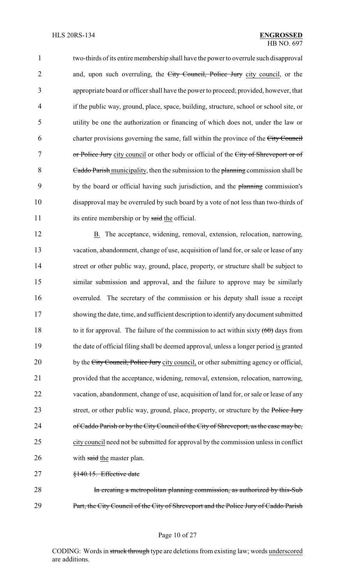1 two-thirds of its entire membership shall have the power to overrule such disapproval 2 and, upon such overruling, the City Council, Police Jury city council, or the 3 appropriate board or officer shall have the power to proceed; provided, however, that 4 if the public way, ground, place, space, building, structure, school or school site, or 5 utility be one the authorization or financing of which does not, under the law or 6 charter provisions governing the same, fall within the province of the City Council 7 or Police Jury city council or other body or official of the City of Shreveport or of 8 Caddo Parish municipality, then the submission to the planning commission shall be 9 by the board or official having such jurisdiction, and the planning commission's 10 disapproval may be overruled by such board by a vote of not less than two-thirds of 11 its entire membership or by said the official.

12 B. The acceptance, widening, removal, extension, relocation, narrowing, 13 vacation, abandonment, change of use, acquisition of land for, or sale or lease of any 14 street or other public way, ground, place, property, or structure shall be subject to 15 similar submission and approval, and the failure to approve may be similarly 16 overruled. The secretary of the commission or his deputy shall issue a receipt 17 showing the date, time, and sufficient description to identifyanydocument submitted 18 to it for approval. The failure of the commission to act within sixty  $(60)$  days from 19 the date of official filing shall be deemed approval, unless a longer period is granted 20 by the City Council, Police Jury city council, or other submitting agency or official, 21 provided that the acceptance, widening, removal, extension, relocation, narrowing, 22 vacation, abandonment, change of use, acquisition of land for, or sale or lease of any 23 street, or other public way, ground, place, property, or structure by the Police Jury 24 of Caddo Parish or by the City Council of the City of Shreveport, as the case may be, 25 city council need not be submitted for approval by the commission unless in conflict 26 with said the master plan.

27 §140.15. Effective date

28 In creating a metropolitan planning commission, as authorized by this-Sub 29 Part, the City Council of the City of Shreveport and the Police Jury of Caddo Parish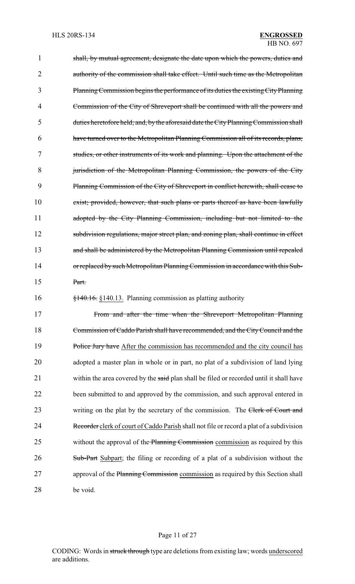1 shall, by mutual agreement, designate the date upon which the powers, duties and 2 authority of the commission shall take effect. Until such time as the Metropolitan 3 PlanningCommission begins the performance of its duties the existingCityPlanning 4 Commission of the City of Shreveport shall be continued with all the powers and 5 duties heretofore held; and, by the aforesaid date the CityPlanningCommission shall 6 have turned over to the Metropolitan Planning Commission all of its records, plans, 7 studies, or other instruments of its work and planning. Upon the attachment of the 8 jurisdiction of the Metropolitan Planning Commission, the powers of the City 9 Planning Commission of the City of Shreveport in conflict herewith, shall cease to 10 exist; provided, however, that such plans or parts thereof as have been lawfully 11 adopted by the City Planning Commission, including but not limited to the 12 subdivision regulations, major street plan, and zoning plan, shall continue in effect 13 and shall be administered by the Metropolitan Planning Commission until repealed 14 or replaced by such Metropolitan Planning Commission in accordance with this Sub-15 Part. 16 §140.16. §140.13. Planning commission as platting authority 17 From and after the time when the Shreveport Metropolitan Planning 18 Commission of Caddo Parish shall have recommended, and the CityCouncil and the 19 Police Jury have After the commission has recommended and the city council has 20 adopted a master plan in whole or in part, no plat of a subdivision of land lying 21 within the area covered by the said plan shall be filed or recorded until it shall have 22 been submitted to and approved by the commission, and such approval entered in 23 writing on the plat by the secretary of the commission. The Clerk of Court and 24 Recorder clerk of court of Caddo Parish shall not file or record a plat of a subdivision

25 without the approval of the Planning Commission commission as required by this 26 Sub-Part Subpart; the filing or recording of a plat of a subdivision without the 27 approval of the Planning Commission commission as required by this Section shall 28 be void.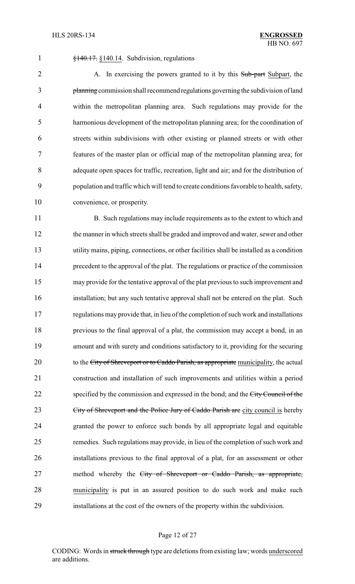§140.17. §140.14. Subdivision, regulations

2 A. In exercising the powers granted to it by this Sub-part Subpart, the planning commission shall recommend regulations governing the subdivision of land within the metropolitan planning area. Such regulations may provide for the harmonious development of the metropolitan planning area; for the coordination of streets within subdivisions with other existing or planned streets or with other features of the master plan or official map of the metropolitan planning area; for adequate open spaces for traffic, recreation, light and air; and for the distribution of population and traffic which will tend to create conditions favorable to health, safety, convenience, or prosperity.

11 B. Such regulations may include requirements as to the extent to which and the manner in which streets shall be graded and improved and water, sewer and other utility mains, piping, connections, or other facilities shall be installed as a condition precedent to the approval of the plat. The regulations or practice of the commission may provide for the tentative approval of the plat previous to such improvement and installation; but any such tentative approval shall not be entered on the plat. Such regulations may provide that, in lieu of the completion of such work and installations previous to the final approval of a plat, the commission may accept a bond, in an amount and with surety and conditions satisfactory to it, providing for the securing 20 to the City of Shreveport or to Caddo Parish, as appropriate municipality, the actual construction and installation of such improvements and utilities within a period 22 specified by the commission and expressed in the bond; and the City Council of the 23 City of Shreveport and the Police Jury of Caddo Parish are city council is hereby granted the power to enforce such bonds by all appropriate legal and equitable remedies. Such regulations may provide, in lieu of the completion of such work and installations previous to the final approval of a plat, for an assessment or other 27 method whereby the City of Shreveport or Caddo Parish, as appropriate, municipality is put in an assured position to do such work and make such installations at the cost of the owners of the property within the subdivision.

#### Page 12 of 27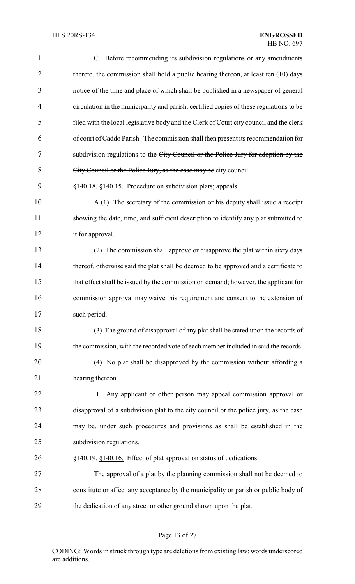| $\mathbf{1}$   | C. Before recommending its subdivision regulations or any amendments                    |
|----------------|-----------------------------------------------------------------------------------------|
| $\overline{2}$ | thereto, the commission shall hold a public hearing thereon, at least ten $(10)$ days   |
| 3              | notice of the time and place of which shall be published in a newspaper of general      |
| $\overline{4}$ | circulation in the municipality and parish; certified copies of these regulations to be |
| 5              | filed with the local legislative body and the Clerk of Court city council and the clerk |
| 6              | of court of Caddo Parish. The commission shall then present its recommendation for      |
| 7              | subdivision regulations to the City Council or the Police Jury for adoption by the      |
| 8              | City Council or the Police Jury, as the case may be city council.                       |
| 9              | §140.18. §140.15. Procedure on subdivision plats; appeals                               |
| 10             | A.(1) The secretary of the commission or his deputy shall issue a receipt               |
| 11             | showing the date, time, and sufficient description to identify any plat submitted to    |
| 12             | it for approval.                                                                        |
| 13             | (2) The commission shall approve or disapprove the plat within sixty days               |
| 14             | thereof, otherwise said the plat shall be deemed to be approved and a certificate to    |
| 15             | that effect shall be issued by the commission on demand; however, the applicant for     |
| 16             | commission approval may waive this requirement and consent to the extension of          |
| 17             | such period.                                                                            |
| 18             | (3) The ground of disapproval of any plat shall be stated upon the records of           |
| 19             | the commission, with the recorded vote of each member included in said the records.     |
| 20             | (4) No plat shall be disapproved by the commission without affording a                  |
| 21             | hearing thereon.                                                                        |
| 22             | B. Any applicant or other person may appeal commission approval or                      |
| 23             | disapproval of a subdivision plat to the city council or the police jury, as the case   |
| 24             | may be, under such procedures and provisions as shall be established in the             |
| 25             | subdivision regulations.                                                                |
| 26             | $\frac{$140.19}{\\8140.16}$ . Effect of plat approval on status of dedications          |
| 27             | The approval of a plat by the planning commission shall not be deemed to                |
| 28             | constitute or affect any acceptance by the municipality or parish or public body of     |
| 29             | the dedication of any street or other ground shown upon the plat.                       |

# Page 13 of 27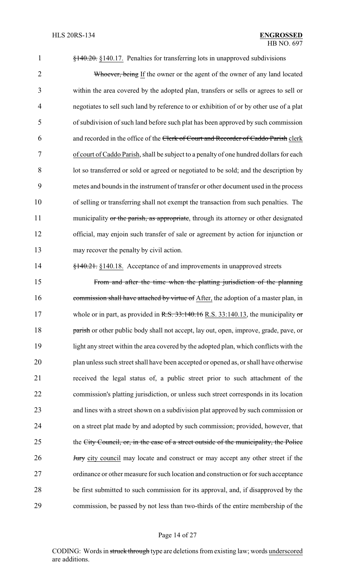§140.20. §140.17. Penalties for transferring lots in unapproved subdivisions

2 Whoever, being If the owner or the agent of the owner of any land located within the area covered by the adopted plan, transfers or sells or agrees to sell or negotiates to sell such land by reference to or exhibition of or by other use of a plat of subdivision of such land before such plat has been approved by such commission and recorded in the office of the Clerk of Court and Recorder of Caddo Parish clerk of court of Caddo Parish, shall be subject to a penalty of one hundred dollars for each lot so transferred or sold or agreed or negotiated to be sold; and the description by metes and bounds in the instrument of transfer or other document used in the process of selling or transferring shall not exempt the transaction from such penalties. The 11 municipality or the parish, as appropriate, through its attorney or other designated official, may enjoin such transfer of sale or agreement by action for injunction or may recover the penalty by civil action.

**§140.21.** §140.18. Acceptance of and improvements in unapproved streets

 From and after the time when the platting jurisdiction of the planning 16 commission shall have attached by virtue of After, the adoption of a master plan, in 17 whole or in part, as provided in R.S. 33:140.16 R.S. 33:140.13, the municipality or **parish** or other public body shall not accept, lay out, open, improve, grade, pave, or light any street within the area covered by the adopted plan, which conflicts with the plan unless such street shall have been accepted or opened as, or shall have otherwise received the legal status of, a public street prior to such attachment of the commission's platting jurisdiction, or unless such street corresponds in its location and lines with a street shown on a subdivision plat approved by such commission or on a street plat made by and adopted by such commission; provided, however, that 25 the City Council, or, in the case of a street outside of the municipality, the Police **Jury** city council may locate and construct or may accept any other street if the ordinance or other measure for such location and construction or for such acceptance be first submitted to such commission for its approval, and, if disapproved by the commission, be passed by not less than two-thirds of the entire membership of the

## Page 14 of 27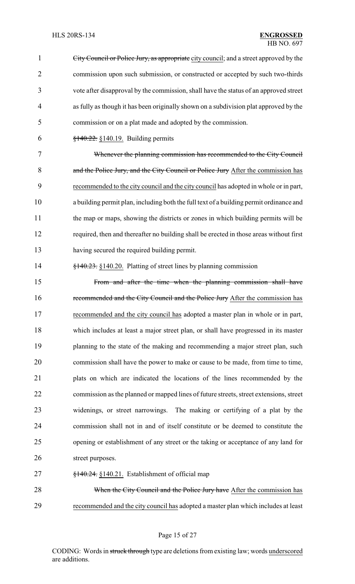City Council or Police Jury, as appropriate city council; and a street approved by the commission upon such submission, or constructed or accepted by such two-thirds vote after disapproval by the commission, shall have the status of an approved street as fully as though it has been originally shown on a subdivision plat approved by the commission or on a plat made and adopted by the commission.  $\frac{$140.22}{9140.22}$  §140.19. Building permits Whenever the planning commission has recommended to the City Council 8 and the Police Jury, and the City Council or Police Jury After the commission has recommended to the city council and the city council has adopted in whole or in part, a building permit plan, including both the full text of a building permit ordinance and the map or maps, showing the districts or zones in which building permits will be required, then and thereafter no building shall be erected in those areas without first having secured the required building permit. 14 §140.23. §140.20. Platting of street lines by planning commission From and after the time when the planning commission shall have 16 recommended and the City Council and the Police Jury After the commission has recommended and the city council has adopted a master plan in whole or in part, which includes at least a major street plan, or shall have progressed in its master 19 planning to the state of the making and recommending a major street plan, such commission shall have the power to make or cause to be made, from time to time, plats on which are indicated the locations of the lines recommended by the commission as the planned or mapped lines of future streets, street extensions, street widenings, or street narrowings. The making or certifying of a plat by the commission shall not in and of itself constitute or be deemed to constitute the opening or establishment of any street or the taking or acceptance of any land for 26 street purposes. §140.24. §140.21. Establishment of official map 28 When the City Council and the Police Jury have After the commission has recommended and the city council has adopted a master plan which includes at least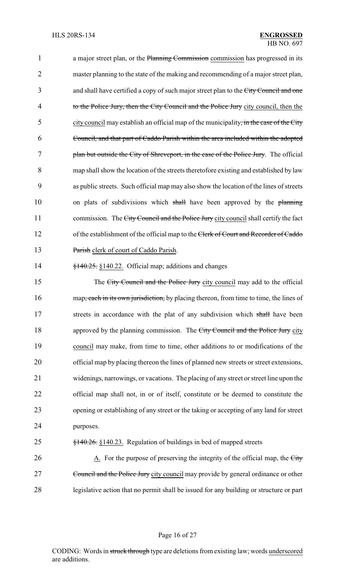1 a major street plan, or the Planning Commission commission has progressed in its 2 master planning to the state of the making and recommending of a major street plan, 3 and shall have certified a copy of such major street plan to the City Council and one 4 to the Police Jury, then the City Council and the Police Jury city council, then the 5 city council may establish an official map of the municipality, in the case of the City 6 Council, and that part of Caddo Parish within the area included within the adopted 7 plan but outside the City of Shreveport, in the case of the Police Jury. The official 8 map shall show the location of the streets theretofore existing and established by law 9 as public streets. Such official map may also show the location of the lines of streets 10 on plats of subdivisions which shall have been approved by the planning 11 commission. The City Council and the Police Jury city council shall certify the fact 12 of the establishment of the official map to the Clerk of Court and Recorder of Caddo 13 Parish clerk of court of Caddo Parish.

#### 14 §140.25. §140.22. Official map; additions and changes

15 The City Council and the Police Jury city council may add to the official 16 map, each in its own jurisdiction, by placing thereon, from time to time, the lines of 17 streets in accordance with the plat of any subdivision which shall have been 18 approved by the planning commission. The City Council and the Police Jury city 19 council may make, from time to time, other additions to or modifications of the 20 official map by placing thereon the lines of planned new streets or street extensions, 21 widenings, narrowings, or vacations. The placing of any street or street line upon the 22 official map shall not, in or of itself, constitute or be deemed to constitute the 23 opening or establishing of any street or the taking or accepting of any land for street 24 purposes.

# 25 §140.26. §140.23. Regulation of buildings in bed of mapped streets

26 A. For the purpose of preserving the integrity of the official map, the City 27 Council and the Police Jury city council may provide by general ordinance or other 28 legislative action that no permit shall be issued for any building or structure or part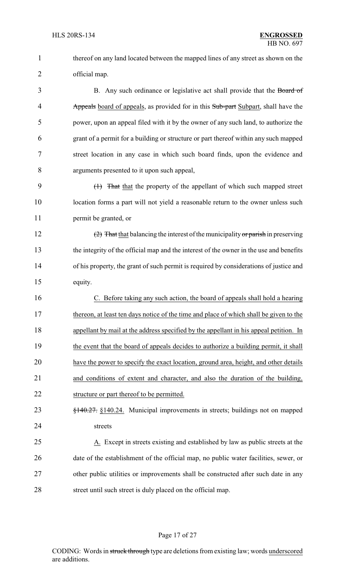thereof on any land located between the mapped lines of any street as shown on the official map.

3 B. Any such ordinance or legislative act shall provide that the Board of 4 Appearth Appeart Subard of appearts, as provided for in this Sub-part Subpart, shall have the power, upon an appeal filed with it by the owner of any such land, to authorize the grant of a permit for a building or structure or part thereof within any such mapped street location in any case in which such board finds, upon the evidence and arguments presented to it upon such appeal,

 (1) That that the property of the appellant of which such mapped street location forms a part will not yield a reasonable return to the owner unless such permit be granted, or

12 (2) That that balancing the interest of the municipality or parish in preserving the integrity of the official map and the interest of the owner in the use and benefits of his property, the grant of such permit is required by considerations of justice and equity.

 C. Before taking any such action, the board of appeals shall hold a hearing thereon, at least ten days notice of the time and place of which shall be given to the appellant by mail at the address specified by the appellant in his appeal petition. In the event that the board of appeals decides to authorize a building permit, it shall have the power to specify the exact location, ground area, height, and other details and conditions of extent and character, and also the duration of the building, structure or part thereof to be permitted.

 §140.27. §140.24. Municipal improvements in streets; buildings not on mapped streets

 A. Except in streets existing and established by law as public streets at the date of the establishment of the official map, no public water facilities, sewer, or other public utilities or improvements shall be constructed after such date in any 28 street until such street is duly placed on the official map.

## Page 17 of 27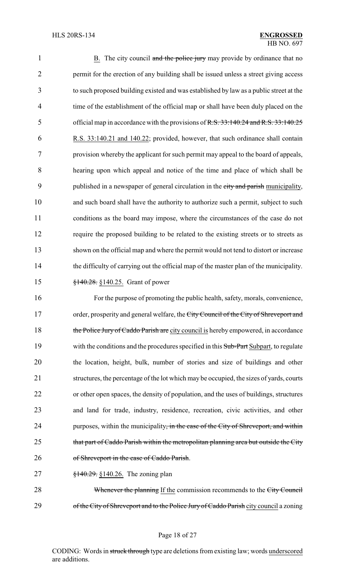1 B. The city council and the police jury may provide by ordinance that no permit for the erection of any building shall be issued unless a street giving access to such proposed building existed and was established by law as a public street at the time of the establishment of the official map or shall have been duly placed on the 5 official map in accordance with the provisions of R.S. 33:140.24 and R.S. 33:140.25 R.S. 33:140.21 and 140.22; provided, however, that such ordinance shall contain provision whereby the applicant for such permit may appeal to the board of appeals, hearing upon which appeal and notice of the time and place of which shall be 9 published in a newspaper of general circulation in the city and parish municipality, and such board shall have the authority to authorize such a permit, subject to such conditions as the board may impose, where the circumstances of the case do not require the proposed building to be related to the existing streets or to streets as shown on the official map and where the permit would not tend to distort or increase the difficulty of carrying out the official map of the master plan of the municipality. 15 <del>§140.28.</del> §140.25. Grant of power

16 For the purpose of promoting the public health, safety, morals, convenience, 17 order, prosperity and general welfare, the City Council of the City of Shreveport and 18 the Police Jury of Caddo Parish are city council is hereby empowered, in accordance 19 with the conditions and the procedures specified in this Sub-Part Subpart, to regulate 20 the location, height, bulk, number of stories and size of buildings and other 21 structures, the percentage of the lot which may be occupied, the sizes of yards, courts 22 or other open spaces, the density of population, and the uses of buildings, structures 23 and land for trade, industry, residence, recreation, civic activities, and other 24 purposes, within the municipality, in the case of the City of Shreveport, and within 25 that part of Caddo Parish within the metropolitan planning area but outside the City 26 of Shreveport in the case of Caddo Parish.

27 <del>§140.29.</del> §140.26. The zoning plan

28 Whenever the planning If the commission recommends to the City Council 29 of the City of Shreveport and to the Police Jury of Caddo Parish city council a zoning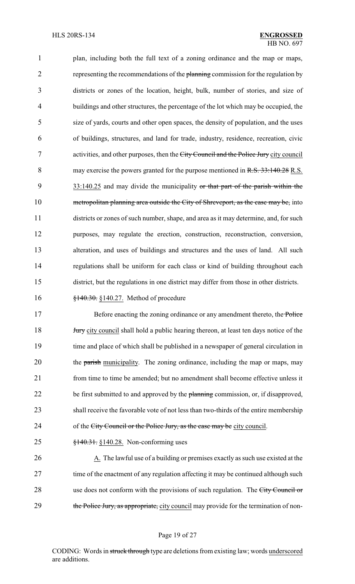plan, including both the full text of a zoning ordinance and the map or maps, 2 representing the recommendations of the planning commission for the regulation by districts or zones of the location, height, bulk, number of stories, and size of buildings and other structures, the percentage of the lot which may be occupied, the size of yards, courts and other open spaces, the density of population, and the uses of buildings, structures, and land for trade, industry, residence, recreation, civic 7 activities, and other purposes, then the City Council and the Police Jury city council 8 may exercise the powers granted for the purpose mentioned in R.S. 33:140.28 R.S. 9 33:140.25 and may divide the municipality or that part of the parish within the 10 metropolitan planning area outside the City of Shreveport, as the case may be, into districts or zones of such number, shape, and area as it may determine, and, for such purposes, may regulate the erection, construction, reconstruction, conversion, alteration, and uses of buildings and structures and the uses of land. All such regulations shall be uniform for each class or kind of building throughout each district, but the regulations in one district may differ from those in other districts.

16 **§140.30.** §140.27. Method of procedure

17 Before enacting the zoning ordinance or any amendment thereto, the Police 18 **Jury** city council shall hold a public hearing thereon, at least ten days notice of the 19 time and place of which shall be published in a newspaper of general circulation in 20 the parish municipality. The zoning ordinance, including the map or maps, may 21 from time to time be amended; but no amendment shall become effective unless it 22 be first submitted to and approved by the planning commission, or, if disapproved, 23 shall receive the favorable vote of not less than two-thirds of the entire membership 24 of the City Council or the Police Jury, as the case may be city council.

25 §140.31. §140.28. Non-conforming uses

26 A. The lawful use of a building or premises exactly as such use existed at the 27 time of the enactment of any regulation affecting it may be continued although such 28 use does not conform with the provisions of such regulation. The City Council or 29 the Police Jury, as appropriate, city council may provide for the termination of non-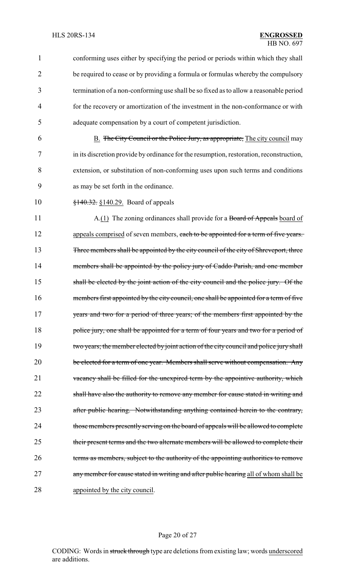1 conforming uses either by specifying the period or periods within which they shall 2 be required to cease or by providing a formula or formulas whereby the compulsory 3 termination of a non-conforming use shall be so fixed as to allow a reasonable period 4 for the recovery or amortization of the investment in the non-conformance or with 5 adequate compensation by a court of competent jurisdiction. 6 B. The City Council or the Police Jury, as appropriate, The city council may 7 in its discretion provide by ordinance for the resumption, restoration, reconstruction, 8 extension, or substitution of non-conforming uses upon such terms and conditions 9 as may be set forth in the ordinance. 10 <del>§140.32.</del> §140.29. Board of appeals 11 A.(1) The zoning ordinances shall provide for a Board of Appeals board of 12 appeals comprised of seven members, each to be appointed for a term of five years. 13 Three members shall be appointed by the city council of the city of Shreveport, three 14 members shall be appointed by the policy jury of Caddo Parish, and one member 15 shall be elected by the joint action of the city council and the police jury. Of the 16 members first appointed by the city council, one shall be appointed for a term of five 17 years and two for a period of three years; of the members first appointed by the 18 police jury, one shall be appointed for a term of four years and two for a period of 19 two years; the member elected by joint action of the city council and police jury shall 20 be elected for a term of one year. Members shall serve without compensation. Any 21 vacancy shall be filled for the unexpired term by the appointive authority, which 22 shall have also the authority to remove any member for cause stated in writing and 23 after public hearing. Notwithstanding anything contained herein to the contrary, 24 those members presently serving on the board of appeals will be allowed to complete 25 their present terms and the two alternate members will be allowed to complete their 26 terms as members, subject to the authority of the appointing authorities to remove 27 any member for cause stated in writing and after public hearing all of whom shall be 28 appointed by the city council.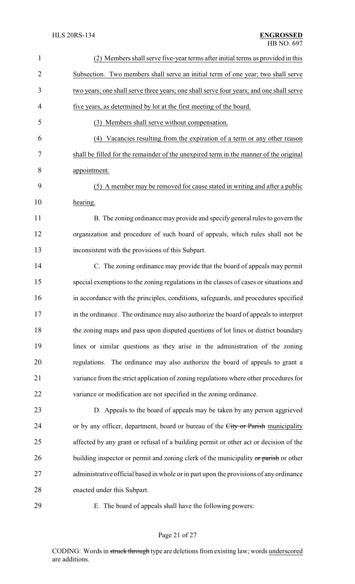| $\mathbf{1}$   | (2) Members shall serve five-year terms after initial terms as provided in this         |
|----------------|-----------------------------------------------------------------------------------------|
| $\overline{2}$ | Subsection. Two members shall serve an initial term of one year; two shall serve        |
| 3              | two years; one shall serve three years; one shall serve four years; and one shall serve |
| $\overline{4}$ | five years, as determined by lot at the first meeting of the board.                     |
| 5              | (3) Members shall serve without compensation.                                           |
| 6              | Vacancies resulting from the expiration of a term or any other reason<br>(4)            |
| 7              | shall be filled for the remainder of the unexpired term in the manner of the original   |
| 8              | appointment.                                                                            |
| 9              | (5) A member may be removed for cause stated in writing and after a public              |
| 10             | hearing.                                                                                |
| 11             | B. The zoning ordinance may provide and specify general rules to govern the             |
| 12             | organization and procedure of such board of appeals, which rules shall not be           |
| 13             | inconsistent with the provisions of this Subpart.                                       |
| 14             | C. The zoning ordinance may provide that the board of appeals may permit                |
| 15             | special exemptions to the zoning regulations in the classes of cases or situations and  |
| 16             | in accordance with the principles, conditions, safeguards, and procedures specified     |
| 17             | in the ordinance. The ordinance may also authorize the board of appeals to interpret    |
| 18             | the zoning maps and pass upon disputed questions of lot lines or district boundary      |
| 19             | lines or similar questions as they arise in the administration of the zoning            |
| 20             | regulations. The ordinance may also authorize the board of appeals to grant a           |
| 21             | variance from the strict application of zoning regulations where other procedures for   |
| 22             | variance or modification are not specified in the zoning ordinance.                     |
| 23             | D. Appeals to the board of appeals may be taken by any person aggrieved                 |
| 24             | or by any officer, department, board or bureau of the City or Parish municipality       |
| 25             | affected by any grant or refusal of a building permit or other act or decision of the   |
| 26             | building inspector or permit and zoning clerk of the municipality or parish or other    |
| 27             | administrative official based in whole or in part upon the provisions of any ordinance  |
| 28             | enacted under this Subpart.                                                             |
| 29             | E. The board of appeals shall have the following powers:                                |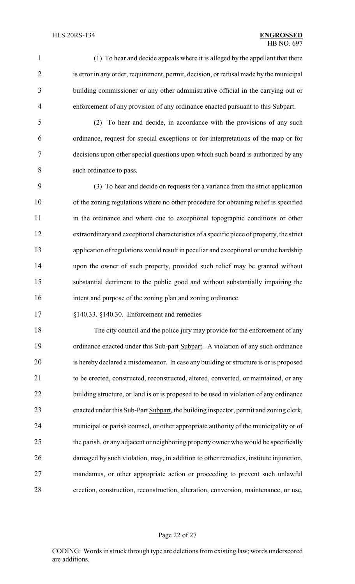(1) To hear and decide appeals where it is alleged by the appellant that there 2 is error in any order, requirement, permit, decision, or refusal made by the municipal building commissioner or any other administrative official in the carrying out or enforcement of any provision of any ordinance enacted pursuant to this Subpart.

 (2) To hear and decide, in accordance with the provisions of any such ordinance, request for special exceptions or for interpretations of the map or for decisions upon other special questions upon which such board is authorized by any such ordinance to pass.

 (3) To hear and decide on requests for a variance from the strict application of the zoning regulations where no other procedure for obtaining relief is specified in the ordinance and where due to exceptional topographic conditions or other extraordinaryand exceptional characteristics of a specific piece of property, the strict application of regulations would result in peculiar and exceptional or undue hardship upon the owner of such property, provided such relief may be granted without substantial detriment to the public good and without substantially impairing the intent and purpose of the zoning plan and zoning ordinance.

**§140.33.** §140.30. Enforcement and remedies

18 The city council and the police jury may provide for the enforcement of any 19 ordinance enacted under this Sub-part Subpart. A violation of any such ordinance is hereby declared a misdemeanor. In case any building or structure is or is proposed to be erected, constructed, reconstructed, altered, converted, or maintained, or any 22 building structure, or land is or is proposed to be used in violation of any ordinance 23 enacted under this Sub-Part Subpart, the building inspector, permit and zoning clerk, 24 municipal or parish counsel, or other appropriate authority of the municipality or of 25 the parish, or any adjacent or neighboring property owner who would be specifically damaged by such violation, may, in addition to other remedies, institute injunction, mandamus, or other appropriate action or proceeding to prevent such unlawful erection, construction, reconstruction, alteration, conversion, maintenance, or use,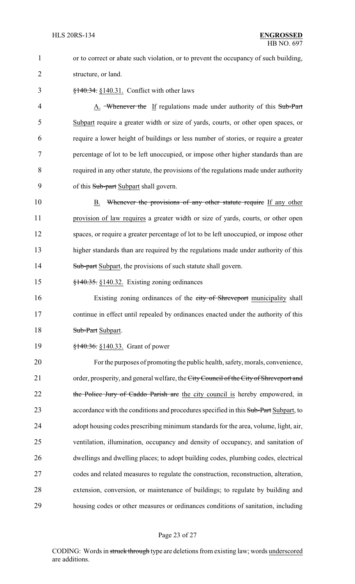1 or to correct or abate such violation, or to prevent the occupancy of such building, 2 structure, or land.

3 §140.34. §140.31. Conflict with other laws

4 A. Whenever the If regulations made under authority of this Sub-Part Subpart require a greater width or size of yards, courts, or other open spaces, or require a lower height of buildings or less number of stories, or require a greater percentage of lot to be left unoccupied, or impose other higher standards than are required in any other statute, the provisions of the regulations made under authority 9 of this Sub-part Subpart shall govern.

10 B. Whenever the provisions of any other statute require If any other 11 provision of law requires a greater width or size of yards, courts, or other open 12 spaces, or require a greater percentage of lot to be left unoccupied, or impose other 13 higher standards than are required by the regulations made under authority of this 14 Sub-part Subpart, the provisions of such statute shall govern.

15 §140.35. §140.32. Existing zoning ordinances

16 Existing zoning ordinances of the city of Shreveport municipality shall 17 continue in effect until repealed by ordinances enacted under the authority of this 18 Sub-Part Subpart.

19 <del>§140.36.</del> §140.33. Grant of power

 For the purposes of promoting the public health, safety, morals, convenience, 21 order, prosperity, and general welfare, the City Council of the City of Shreveport and 22 the Police Jury of Caddo Parish are the city council is hereby empowered, in 23 accordance with the conditions and procedures specified in this Sub-Part Subpart, to adopt housing codes prescribing minimum standards for the area, volume, light, air, ventilation, illumination, occupancy and density of occupancy, and sanitation of dwellings and dwelling places; to adopt building codes, plumbing codes, electrical codes and related measures to regulate the construction, reconstruction, alteration, extension, conversion, or maintenance of buildings; to regulate by building and housing codes or other measures or ordinances conditions of sanitation, including

## Page 23 of 27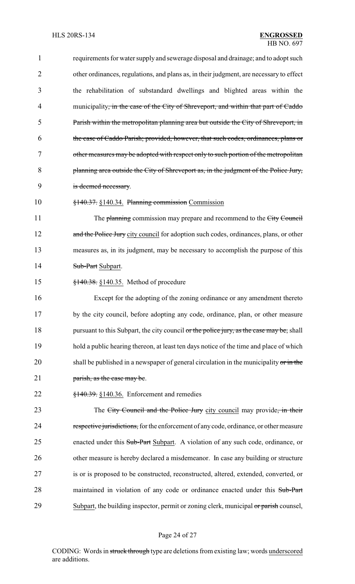| $\mathbf{1}$   | requirements for water supply and sewerage disposal and drainage; and to adopt such            |
|----------------|------------------------------------------------------------------------------------------------|
| $\overline{2}$ | other ordinances, regulations, and plans as, in their judgment, are necessary to effect        |
| 3              | the rehabilitation of substandard dwellings and blighted areas within the                      |
| 4              | municipality <del>, in the case of the City of Shreveport, and within that part of Caddo</del> |
| 5              | Parish within the metropolitan planning area but outside the City of Shreveport, in            |
| 6              | the case of Caddo Parish; provided, however, that such codes, ordinances, plans or             |
| 7              | other measures may be adopted with respect only to such portion of the metropolitan            |
| 8              | planning area outside the City of Shreveport as, in the judgment of the Police Jury,           |
| 9              | is deemed necessary.                                                                           |
| 10             | $\frac{$140.37}{\\8140.34}$ . Planning commission Commission                                   |
| 11             | The planning commission may prepare and recommend to the City Council                          |
| 12             | and the Police Jury city council for adoption such codes, ordinances, plans, or other          |
| 13             | measures as, in its judgment, may be necessary to accomplish the purpose of this               |
| 14             | Sub-Part Subpart.                                                                              |
| 15             | §140.38. §140.35. Method of procedure                                                          |
| 16             | Except for the adopting of the zoning ordinance or any amendment thereto                       |
| 17             | by the city council, before adopting any code, ordinance, plan, or other measure               |
| 18             | pursuant to this Subpart, the city council or the police jury, as the case may be, shall       |
| 19             | hold a public hearing thereon, at least ten days notice of the time and place of which         |
| 20             | shall be published in a newspaper of general circulation in the municipality or in the         |
| 21             | parish, as the case may be.                                                                    |
| 22             | $\frac{$140.39}{140.36}$ , $\frac{$140.36}{140.36}$ . Enforcement and remedies                 |
| 23             | The City Council and the Police Jury city council may provide, in their                        |
| 24             | respective jurisdictions, for the enforcement of any code, ordinance, or other measure         |
| 25             | enacted under this Sub-Part Subpart. A violation of any such code, ordinance, or               |
| 26             | other measure is hereby declared a misdemeanor. In case any building or structure              |
| 27             | is or is proposed to be constructed, reconstructed, altered, extended, converted, or           |
| 28             | maintained in violation of any code or ordinance enacted under this Sub-Part                   |
| 29             | Subpart, the building inspector, permit or zoning clerk, municipal or parish counsel,          |
|                |                                                                                                |

# Page 24 of 27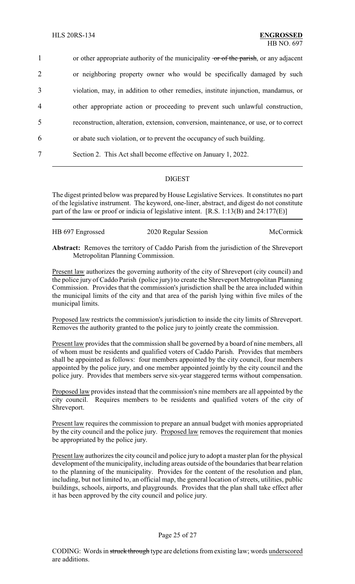1 or other appropriate authority of the municipality or of the parish, or any adjacent or neighboring property owner who would be specifically damaged by such violation, may, in addition to other remedies, institute injunction, mandamus, or other appropriate action or proceeding to prevent such unlawful construction, reconstruction, alteration, extension, conversion, maintenance, or use, or to correct or abate such violation, or to prevent the occupancy of such building. Section 2. This Act shall become effective on January 1, 2022.

# DIGEST

The digest printed below was prepared by House Legislative Services. It constitutes no part of the legislative instrument. The keyword, one-liner, abstract, and digest do not constitute part of the law or proof or indicia of legislative intent. [R.S. 1:13(B) and 24:177(E)]

| HB 697 Engrossed | 2020 Regular Session | McCormick |
|------------------|----------------------|-----------|
|                  |                      |           |

**Abstract:** Removes the territory of Caddo Parish from the jurisdiction of the Shreveport Metropolitan Planning Commission.

Present law authorizes the governing authority of the city of Shreveport (city council) and the police jury of Caddo Parish (police jury) to create the Shreveport Metropolitan Planning Commission. Provides that the commission's jurisdiction shall be the area included within the municipal limits of the city and that area of the parish lying within five miles of the municipal limits.

Proposed law restricts the commission's jurisdiction to inside the city limits of Shreveport. Removes the authority granted to the police jury to jointly create the commission.

Present law provides that the commission shall be governed by a board of nine members, all of whom must be residents and qualified voters of Caddo Parish. Provides that members shall be appointed as follows: four members appointed by the city council, four members appointed by the police jury, and one member appointed jointly by the city council and the police jury. Provides that members serve six-year staggered terms without compensation.

Proposed law provides instead that the commission's nine members are all appointed by the city council. Requires members to be residents and qualified voters of the city of Shreveport.

Present law requires the commission to prepare an annual budget with monies appropriated by the city council and the police jury. Proposed law removes the requirement that monies be appropriated by the police jury.

Present law authorizes the city council and police jury to adopt a master plan for the physical development of the municipality, including areas outside of the boundaries that bear relation to the planning of the municipality. Provides for the content of the resolution and plan, including, but not limited to, an official map, the general location of streets, utilities, public buildings, schools, airports, and playgrounds. Provides that the plan shall take effect after it has been approved by the city council and police jury.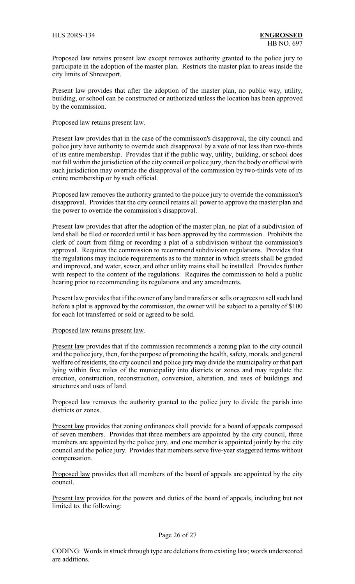Proposed law retains present law except removes authority granted to the police jury to participate in the adoption of the master plan. Restricts the master plan to areas inside the city limits of Shreveport.

Present law provides that after the adoption of the master plan, no public way, utility, building, or school can be constructed or authorized unless the location has been approved by the commission.

#### Proposed law retains present law.

Present law provides that in the case of the commission's disapproval, the city council and police jury have authority to override such disapproval by a vote of not less than two-thirds of its entire membership. Provides that if the public way, utility, building, or school does not fall within the jurisdiction of the city council or police jury, then the body or official with such jurisdiction may override the disapproval of the commission by two-thirds vote of its entire membership or by such official.

Proposed law removes the authority granted to the police jury to override the commission's disapproval. Provides that the city council retains all power to approve the master plan and the power to override the commission's disapproval.

Present law provides that after the adoption of the master plan, no plat of a subdivision of land shall be filed or recorded until it has been approved by the commission. Prohibits the clerk of court from filing or recording a plat of a subdivision without the commission's approval. Requires the commission to recommend subdivision regulations. Provides that the regulations may include requirements as to the manner in which streets shall be graded and improved, and water, sewer, and other utility mains shall be installed. Provides further with respect to the content of the regulations. Requires the commission to hold a public hearing prior to recommending its regulations and any amendments.

Present law provides that if the owner of any land transfers or sells or agrees to sell such land before a plat is approved by the commission, the owner will be subject to a penalty of \$100 for each lot transferred or sold or agreed to be sold.

#### Proposed law retains present law.

Present law provides that if the commission recommends a zoning plan to the city council and the police jury, then, for the purpose of promoting the health, safety, morals, and general welfare of residents, the city council and police jurymay divide the municipality or that part lying within five miles of the municipality into districts or zones and may regulate the erection, construction, reconstruction, conversion, alteration, and uses of buildings and structures and uses of land.

Proposed law removes the authority granted to the police jury to divide the parish into districts or zones.

Present law provides that zoning ordinances shall provide for a board of appeals composed of seven members. Provides that three members are appointed by the city council, three members are appointed by the police jury, and one member is appointed jointly by the city council and the police jury. Provides that members serve five-year staggered terms without compensation.

Proposed law provides that all members of the board of appeals are appointed by the city council.

Present law provides for the powers and duties of the board of appeals, including but not limited to, the following: